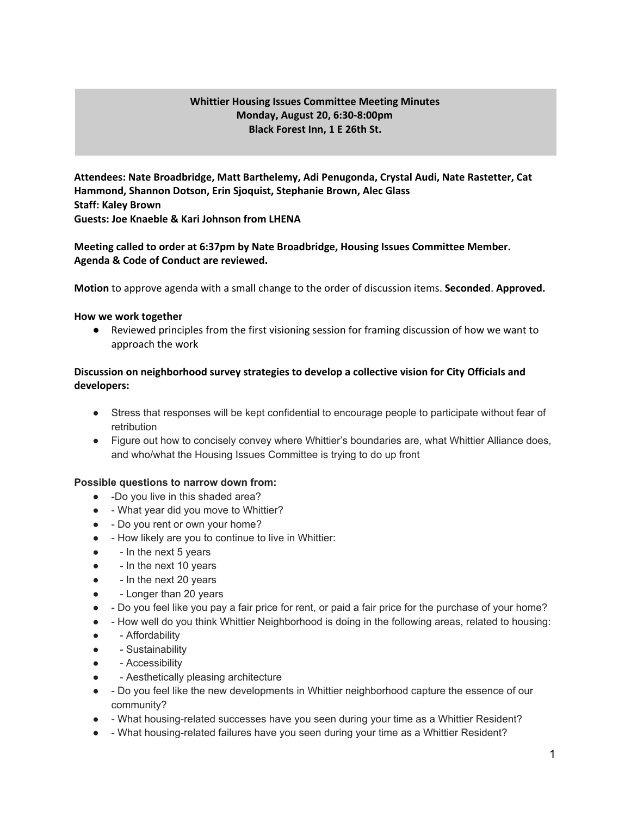### **Whittier Housing Issues Committee Meeting Minutes Monday, August 20, 6:30-8:00pm Black Forest Inn, 1 E 26th St.**

**Attendees: Nate Broadbridge, Matt Barthelemy, Adi Penugonda, Crystal Audi, Nate Rastetter, Cat Hammond, Shannon Dotson, Erin Sjoquist, Stephanie Brown, Alec Glass Staff: Kaley Brown Guests: Joe Knaeble & Kari Johnson from LHENA**

## **Meeting called to order at 6:37pm by Nate Broadbridge, Housing Issues Committee Member. Agenda & Code of Conduct are reviewed.**

**Motion** to approve agenda with a small change to the order of discussion items. **Seconded**. **Approved.**

#### **How we work together**

● Reviewed principles from the first visioning session for framing discussion of how we want to approach the work

## **Discussion on neighborhood survey strategies to develop a collective vision for City Officials and developers:**

- Stress that responses will be kept confidential to encourage people to participate without fear of retribution
- Figure out how to concisely convey where Whittier's boundaries are, what Whittier Alliance does, and who/what the Housing Issues Committee is trying to do up front

### **Possible questions to narrow down from:**

- -Do you live in this shaded area?
- - What year did you move to Whittier?
- - Do you rent or own your home?
- - How likely are you to continue to live in Whittier:
- - In the next 5 years
- In the next 10 years
- - In the next 20 years
- - Longer than 20 years
- - Do you feel like you pay a fair price for rent, or paid a fair price for the purchase of your home?
- - How well do you think Whittier Neighborhood is doing in the following areas, related to housing:
- - Affordability
- - Sustainability
- Accessibility
- Aesthetically pleasing architecture
- - Do you feel like the new developments in Whittier neighborhood capture the essence of our community?
- - What housing-related successes have you seen during your time as a Whittier Resident?
- - What housing-related failures have you seen during your time as a Whittier Resident?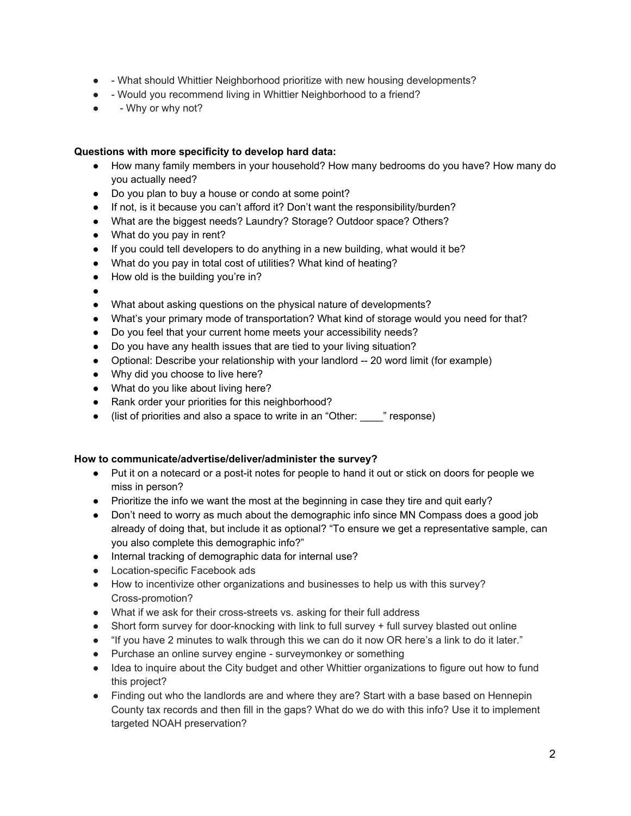- - What should Whittier Neighborhood prioritize with new housing developments?
- - Would you recommend living in Whittier Neighborhood to a friend?
- - Why or why not?

#### **Questions with more specificity to develop hard data:**

- How many family members in your household? How many bedrooms do you have? How many do you actually need?
- Do you plan to buy a house or condo at some point?
- If not, is it because you can't afford it? Don't want the responsibility/burden?
- What are the biggest needs? Laundry? Storage? Outdoor space? Others?
- What do you pay in rent?
- If you could tell developers to do anything in a new building, what would it be?
- What do you pay in total cost of utilities? What kind of heating?
- How old is the building you're in?
- ●
- What about asking questions on the physical nature of developments?
- What's your primary mode of transportation? What kind of storage would you need for that?
- Do you feel that your current home meets your accessibility needs?
- Do you have any health issues that are tied to your living situation?
- Optional: Describe your relationship with your landlord -- 20 word limit (for example)
- Why did you choose to live here?
- What do you like about living here?
- Rank order your priorities for this neighborhood?
- (list of priorities and also a space to write in an "Other: \_\_\_\_" response)

### **How to communicate/advertise/deliver/administer the survey?**

- Put it on a notecard or a post-it notes for people to hand it out or stick on doors for people we miss in person?
- Prioritize the info we want the most at the beginning in case they tire and quit early?
- Don't need to worry as much about the demographic info since MN Compass does a good job already of doing that, but include it as optional? "To ensure we get a representative sample, can you also complete this demographic info?"
- Internal tracking of demographic data for internal use?
- Location-specific Facebook ads
- How to incentivize other organizations and businesses to help us with this survey? Cross-promotion?
- What if we ask for their cross-streets vs. asking for their full address
- Short form survey for door-knocking with link to full survey + full survey blasted out online
- "If you have 2 minutes to walk through this we can do it now OR here's a link to do it later."
- Purchase an online survey engine surveymonkey or something
- Idea to inquire about the City budget and other Whittier organizations to figure out how to fund this project?
- Finding out who the landlords are and where they are? Start with a base based on Hennepin County tax records and then fill in the gaps? What do we do with this info? Use it to implement targeted NOAH preservation?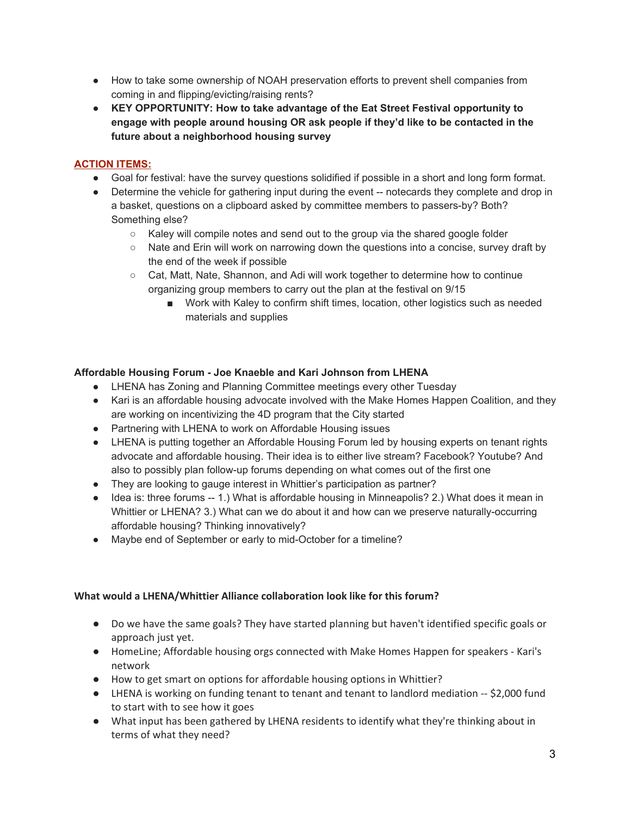- How to take some ownership of NOAH preservation efforts to prevent shell companies from coming in and flipping/evicting/raising rents?
- **● KEY OPPORTUNITY: How to take advantage of the Eat Street Festival opportunity to engage with people around housing OR ask people if they'd like to be contacted in the future about a neighborhood housing survey**

# **ACTION ITEMS:**

- Goal for festival: have the survey questions solidified if possible in a short and long form format.
- Determine the vehicle for gathering input during the event -- notecards they complete and drop in a basket, questions on a clipboard asked by committee members to passers-by? Both? Something else?
	- Kaley will compile notes and send out to the group via the shared google folder
	- Nate and Erin will work on narrowing down the questions into a concise, survey draft by the end of the week if possible
	- Cat, Matt, Nate, Shannon, and Adi will work together to determine how to continue organizing group members to carry out the plan at the festival on 9/15
		- Work with Kaley to confirm shift times, location, other logistics such as needed materials and supplies

## **Affordable Housing Forum - Joe Knaeble and Kari Johnson from LHENA**

- LHENA has Zoning and Planning Committee meetings every other Tuesday
- Kari is an affordable housing advocate involved with the Make Homes Happen Coalition, and they are working on incentivizing the 4D program that the City started
- Partnering with LHENA to work on Affordable Housing issues
- LHENA is putting together an Affordable Housing Forum led by housing experts on tenant rights advocate and affordable housing. Their idea is to either live stream? Facebook? Youtube? And also to possibly plan follow-up forums depending on what comes out of the first one
- They are looking to gauge interest in Whittier's participation as partner?
- Idea is: three forums -- 1.) What is affordable housing in Minneapolis? 2.) What does it mean in Whittier or LHENA? 3.) What can we do about it and how can we preserve naturally-occurring affordable housing? Thinking innovatively?
- Maybe end of September or early to mid-October for a timeline?

## **What would a LHENA/Whittier Alliance collaboration look like for this forum?**

- Do we have the same goals? They have started planning but haven't identified specific goals or approach just yet.
- HomeLine; Affordable housing orgs connected with Make Homes Happen for speakers Kari's network
- How to get smart on options for affordable housing options in Whittier?
- LHENA is working on funding tenant to tenant and tenant to landlord mediation -- \$2,000 fund to start with to see how it goes
- What input has been gathered by LHENA residents to identify what they're thinking about in terms of what they need?